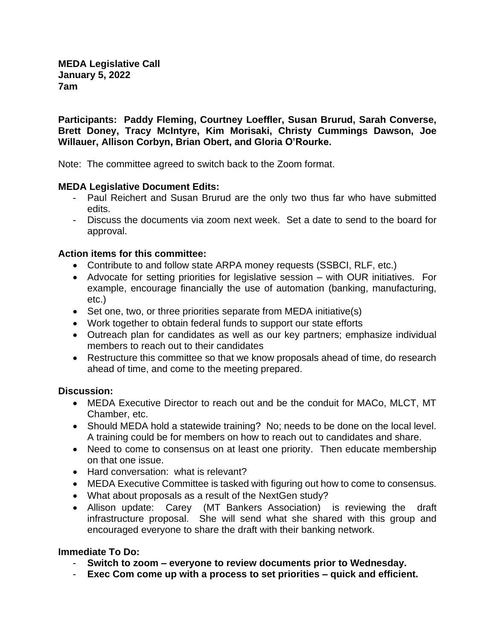**MEDA Legislative Call January 5, 2022 7am**

**Participants: Paddy Fleming, Courtney Loeffler, Susan Brurud, Sarah Converse, Brett Doney, Tracy McIntyre, Kim Morisaki, Christy Cummings Dawson, Joe Willauer, Allison Corbyn, Brian Obert, and Gloria O'Rourke.**

Note: The committee agreed to switch back to the Zoom format.

## **MEDA Legislative Document Edits:**

- Paul Reichert and Susan Brurud are the only two thus far who have submitted edits.
- Discuss the documents via zoom next week. Set a date to send to the board for approval.

## **Action items for this committee:**

- Contribute to and follow state ARPA money requests (SSBCI, RLF, etc.)
- Advocate for setting priorities for legislative session with OUR initiatives. For example, encourage financially the use of automation (banking, manufacturing, etc.)
- Set one, two, or three priorities separate from MEDA initiative(s)
- Work together to obtain federal funds to support our state efforts
- Outreach plan for candidates as well as our key partners; emphasize individual members to reach out to their candidates
- Restructure this committee so that we know proposals ahead of time, do research ahead of time, and come to the meeting prepared.

## **Discussion:**

- MEDA Executive Director to reach out and be the conduit for MACo, MLCT, MT Chamber, etc.
- Should MEDA hold a statewide training? No; needs to be done on the local level. A training could be for members on how to reach out to candidates and share.
- Need to come to consensus on at least one priority. Then educate membership on that one issue.
- Hard conversation: what is relevant?
- MEDA Executive Committee is tasked with figuring out how to come to consensus.
- What about proposals as a result of the NextGen study?
- Allison update: Carey (MT Bankers Association) is reviewing the draft infrastructure proposal. She will send what she shared with this group and encouraged everyone to share the draft with their banking network.

## **Immediate To Do:**

- **Switch to zoom – everyone to review documents prior to Wednesday.**
- **Exec Com come up with a process to set priorities – quick and efficient.**